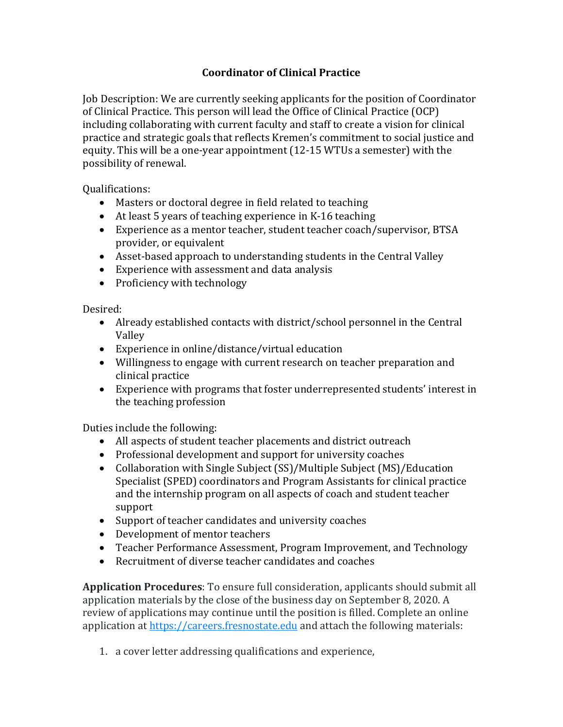## **Coordinator of Clinical Practice**

Job Description: We are currently seeking applicants for the position of Coordinator of Clinical Practice. This person will lead the Office of Clinical Practice (OCP) including collaborating with current faculty and staff to create a vision for clinical practice and strategic goals that reflects Kremen's commitment to social justice and equity. This will be a one-year appointment (12-15 WTUs a semester) with the possibility of renewal.

Qualifications:

- Masters or doctoral degree in field related to teaching
- At least 5 years of teaching experience in K-16 teaching
- Experience as a mentor teacher, student teacher coach/supervisor, BTSA provider, or equivalent
- Asset-based approach to understanding students in the Central Valley
- Experience with assessment and data analysis
- Proficiency with technology

Desired:

- Already established contacts with district/school personnel in the Central Valley
- Experience in online/distance/virtual education
- Willingness to engage with current research on teacher preparation and clinical practice
- Experience with programs that foster underrepresented students' interest in the teaching profession

Duties include the following:

- All aspects of student teacher placements and district outreach
- Professional development and support for university coaches
- Collaboration with Single Subject (SS)/Multiple Subject (MS)/Education Specialist (SPED) coordinators and Program Assistants for clinical practice and the internship program on all aspects of coach and student teacher support
- Support of teacher candidates and university coaches
- Development of mentor teachers
- Teacher Performance Assessment, Program Improvement, and Technology
- Recruitment of diverse teacher candidates and coaches

**Application Procedures**: To ensure full consideration, applicants should submit all application materials by the close of the business day on September 8, 2020. A review of applications may continue until the position is filled. Complete an online application at [https://careers.fresnostate.edu](http://careers.fresnostate.edu/fr/en-us/job/496945?lApplicationSubSourceID=) and attach the following materials:

1. a cover letter addressing qualifications and experience,